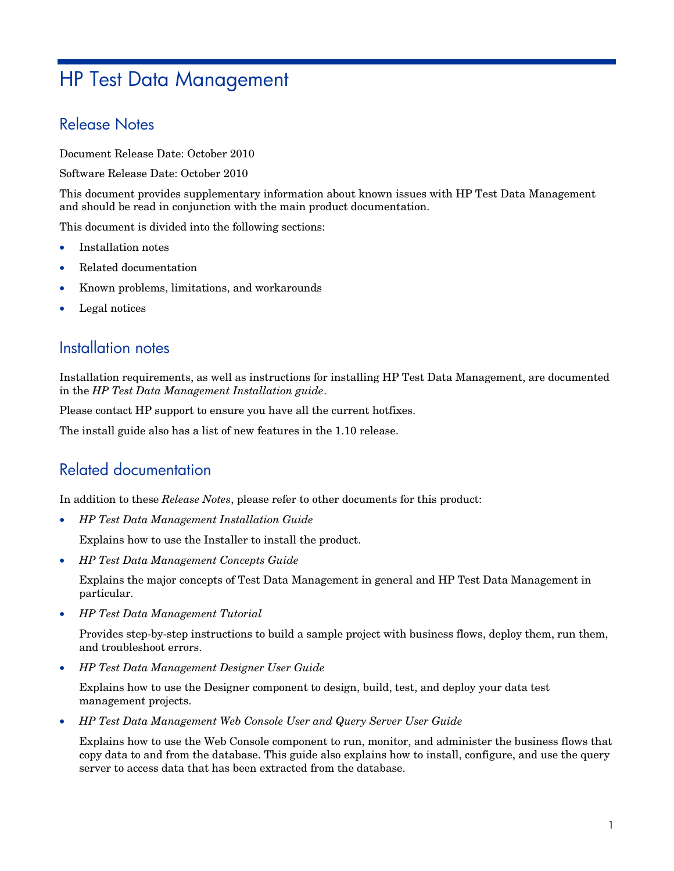# HP Test Data Management

## Release Notes

Document Release Date: October 2010

Software Release Date: October 2010

This document provides supplementary information about known issues with HP Test Data Management and should be read in conjunction with the main product documentation.

This document is divided into the following sections:

- Installation notes
- Related documentation
- Known problems, limitations, and workarounds
- Legal notices

## Installation notes

Installation requirements, as well as instructions for installing HP Test Data Management, are documented in the *HP Test Data Management Installation guide*.

Please contact HP support to ensure you have all the current hotfixes.

The install guide also has a list of new features in the 1.10 release.

## Related documentation

In addition to these *Release Notes*, please refer to other documents for this product:

• *HP Test Data Management Installation Guide* 

Explains how to use the Installer to install the product.

• *HP Test Data Management Concepts Guide* 

 Explains the major concepts of Test Data Management in general and HP Test Data Management in particular.

• *HP Test Data Management Tutorial* 

 Provides step-by-step instructions to build a sample project with business flows, deploy them, run them, and troubleshoot errors.

• *HP Test Data Management Designer User Guide* 

 Explains how to use the Designer component to design, build, test, and deploy your data test management projects.

• *HP Test Data Management Web Console User and Query Server User Guide* 

 Explains how to use the Web Console component to run, monitor, and administer the business flows that copy data to and from the database. This guide also explains how to install, configure, and use the query server to access data that has been extracted from the database.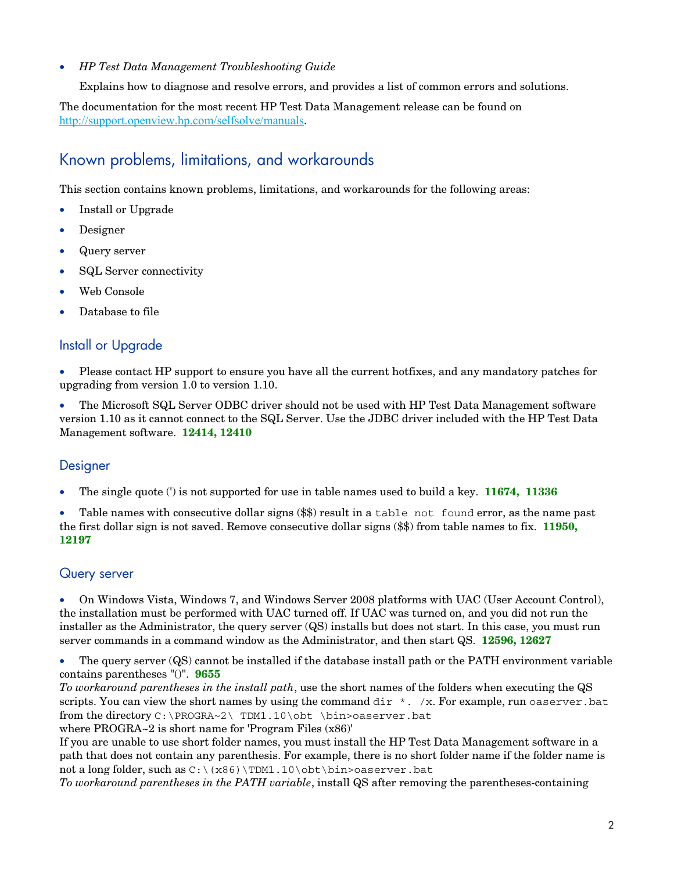#### • *HP Test Data Management Troubleshooting Guide*

Explains how to diagnose and resolve errors, and provides a list of common errors and solutions.

The documentation for the most recent HP Test Data Management release can be found on http://support.openview.hp.com/selfsolve/manuals.

# Known problems, limitations, and workarounds

This section contains known problems, limitations, and workarounds for the following areas:

- Install or Upgrade
- Designer
- Query server
- SQL Server connectivity
- Web Console
- Database to file

#### Install or Upgrade

• Please contact HP support to ensure you have all the current hotfixes, and any mandatory patches for upgrading from version 1.0 to version 1.10.

• The Microsoft SQL Server ODBC driver should not be used with HP Test Data Management software version 1.10 as it cannot connect to the SQL Server. Use the JDBC driver included with the HP Test Data Management software. **12414, 12410**

#### **Designer**

• The single quote (') is not supported for use in table names used to build a key. **11674, 11336**

Table names with consecutive dollar signs  $(\$)$  result in a table not found error, as the name past the first dollar sign is not saved. Remove consecutive dollar signs (\$\$) from table names to fix. **11950, 12197**

#### Query server

• On Windows Vista, Windows 7, and Windows Server 2008 platforms with UAC (User Account Control), the installation must be performed with UAC turned off. If UAC was turned on, and you did not run the installer as the Administrator, the query server (QS) installs but does not start. In this case, you must run server commands in a command window as the Administrator, and then start QS. **12596, 12627**

• The query server (QS) cannot be installed if the database install path or the PATH environment variable contains parentheses "()". **9655**

*To workaround parentheses in the install path*, use the short names of the folders when executing the QS scripts. You can view the short names by using the command dir  $\star$ . /x. For example, run oaserver.bat from the directory C:\PROGRA~2\ TDM1.10\obt \bin>oaserver.bat

where PROGRA~2 is short name for 'Program Files (x86)'

If you are unable to use short folder names, you must install the HP Test Data Management software in a path that does not contain any parenthesis. For example, there is no short folder name if the folder name is not a long folder, such as  $C:\x86)\TDM1.10\obt\binom{\sin}{{\cos}{{\cos}{{\cos}}}}$ .

*To workaround parentheses in the PATH variable*, install QS after removing the parentheses-containing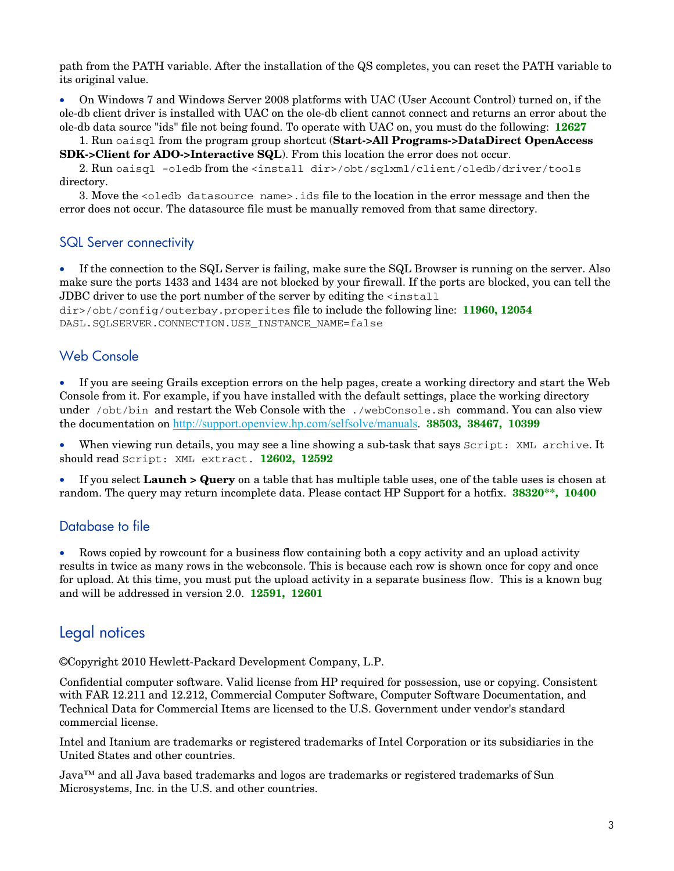path from the PATH variable. After the installation of the QS completes, you can reset the PATH variable to its original value.

• On Windows 7 and Windows Server 2008 platforms with UAC (User Account Control) turned on, if the ole-db client driver is installed with UAC on the ole-db client cannot connect and returns an error about the ole-db data source "ids" file not being found. To operate with UAC on, you must do the following: **12627**

 1. Run oaisql from the program group shortcut (**Start->All Programs->DataDirect OpenAccess SDK->Client for ADO->Interactive SQL**). From this location the error does not occur.

 2. Run oaisql -oledb from the <install dir>/obt/sqlxml/client/oledb/driver/tools directory.

 3. Move the <oledb datasource name>.ids file to the location in the error message and then the error does not occur. The datasource file must be manually removed from that same directory.

#### SQL Server connectivity

• If the connection to the SQL Server is failing, make sure the SQL Browser is running on the server. Also make sure the ports 1433 and 1434 are not blocked by your firewall. If the ports are blocked, you can tell the JDBC driver to use the port number of the server by editing the <install

dir>/obt/config/outerbay.properites file to include the following line: **11960, 12054** DASL.SQLSERVER.CONNECTION.USE\_INSTANCE\_NAME=false

#### Web Console

• If you are seeing Grails exception errors on the help pages, create a working directory and start the Web Console from it. For example, if you have installed with the default settings, place the working directory under /obt/bin and restart the Web Console with the ./webConsole.sh command. You can also view the documentation on http://support.openview.hp.com/selfsolve/manuals. **38503, 38467, 10399** 

When viewing run details, you may see a line showing a sub-task that says Script: XML archive. It should read Script: XML extract. **12602, 12592**

• If you select **Launch > Query** on a table that has multiple table uses, one of the table uses is chosen at random. The query may return incomplete data. Please contact HP Support for a hotfix. **38320\*\*, 10400**

#### Database to file

• Rows copied by rowcount for a business flow containing both a copy activity and an upload activity results in twice as many rows in the webconsole. This is because each row is shown once for copy and once for upload. At this time, you must put the upload activity in a separate business flow. This is a known bug and will be addressed in version 2.0. **12591, 12601** 

## Legal notices

©Copyright 2010 Hewlett-Packard Development Company, L.P.

Confidential computer software. Valid license from HP required for possession, use or copying. Consistent with FAR 12.211 and 12.212, Commercial Computer Software, Computer Software Documentation, and Technical Data for Commercial Items are licensed to the U.S. Government under vendor's standard commercial license.

Intel and Itanium are trademarks or registered trademarks of Intel Corporation or its subsidiaries in the United States and other countries.

Java™ and all Java based trademarks and logos are trademarks or registered trademarks of Sun Microsystems, Inc. in the U.S. and other countries.